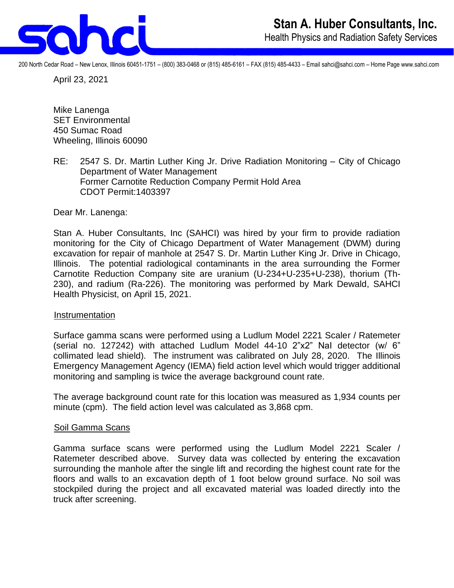

200 North Cedar Road – New Lenox, Illinois 60451-1751 – (800) 383-0468 or (815) 485-6161 – FAX (815) 485-4433 – Email sahci@sahci.com – Home Page www.sahci.com

April 23, 2021

Mike Lanenga SET Environmental 450 Sumac Road Wheeling, Illinois 60090

RE: 2547 S. Dr. Martin Luther King Jr. Drive Radiation Monitoring – City of Chicago Department of Water Management Former Carnotite Reduction Company Permit Hold Area CDOT Permit:1403397

Dear Mr. Lanenga:

Stan A. Huber Consultants, Inc (SAHCI) was hired by your firm to provide radiation monitoring for the City of Chicago Department of Water Management (DWM) during excavation for repair of manhole at 2547 S. Dr. Martin Luther King Jr. Drive in Chicago, Illinois. The potential radiological contaminants in the area surrounding the Former Carnotite Reduction Company site are uranium (U-234+U-235+U-238), thorium (Th-230), and radium (Ra-226). The monitoring was performed by Mark Dewald, SAHCI Health Physicist, on April 15, 2021.

## Instrumentation

Surface gamma scans were performed using a Ludlum Model 2221 Scaler / Ratemeter (serial no. 127242) with attached Ludlum Model 44-10 2"x2" NaI detector (w/ 6" collimated lead shield). The instrument was calibrated on July 28, 2020. The Illinois Emergency Management Agency (IEMA) field action level which would trigger additional monitoring and sampling is twice the average background count rate.

The average background count rate for this location was measured as 1,934 counts per minute (cpm). The field action level was calculated as 3,868 cpm.

## Soil Gamma Scans

Gamma surface scans were performed using the Ludlum Model 2221 Scaler / Ratemeter described above. Survey data was collected by entering the excavation surrounding the manhole after the single lift and recording the highest count rate for the floors and walls to an excavation depth of 1 foot below ground surface. No soil was stockpiled during the project and all excavated material was loaded directly into the truck after screening.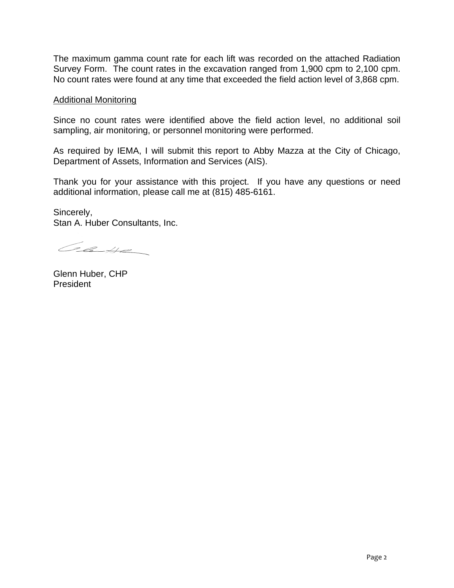The maximum gamma count rate for each lift was recorded on the attached Radiation Survey Form. The count rates in the excavation ranged from 1,900 cpm to 2,100 cpm. No count rates were found at any time that exceeded the field action level of 3,868 cpm.

## Additional Monitoring

Since no count rates were identified above the field action level, no additional soil sampling, air monitoring, or personnel monitoring were performed.

As required by IEMA, I will submit this report to Abby Mazza at the City of Chicago, Department of Assets, Information and Services (AIS).

Thank you for your assistance with this project. If you have any questions or need additional information, please call me at (815) 485-6161.

Sincerely, Stan A. Huber Consultants, Inc.

Case

Glenn Huber, CHP President